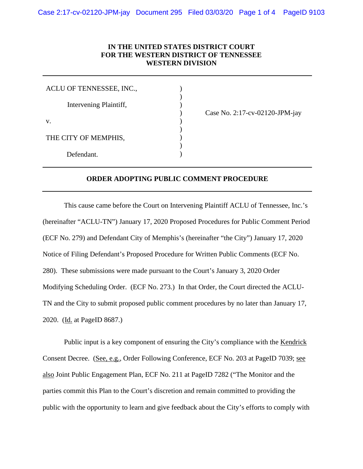## **IN THE UNITED STATES DISTRICT COURT FOR THE WESTERN DISTRICT OF TENNESSEE WESTERN DIVISION**

) ) )

) ) ) )

| ACLU OF TENNESSEE, INC., |  |
|--------------------------|--|
| Intervening Plaintiff,   |  |
| $V_{\cdot}$              |  |
| THE CITY OF MEMPHIS,     |  |
| Defendant.               |  |

) Case No. 2:17-cv-02120-JPM-jay

## **ORDER ADOPTING PUBLIC COMMENT PROCEDURE**

This cause came before the Court on Intervening Plaintiff ACLU of Tennessee, Inc.'s (hereinafter "ACLU-TN") January 17, 2020 Proposed Procedures for Public Comment Period (ECF No. 279) and Defendant City of Memphis's (hereinafter "the City") January 17, 2020 Notice of Filing Defendant's Proposed Procedure for Written Public Comments (ECF No. 280). These submissions were made pursuant to the Court's January 3, 2020 Order Modifying Scheduling Order. (ECF No. 273.) In that Order, the Court directed the ACLU-TN and the City to submit proposed public comment procedures by no later than January 17, 2020. (Id. at PageID 8687.)

Public input is a key component of ensuring the City's compliance with the Kendrick Consent Decree. (See, e.g., Order Following Conference, ECF No. 203 at PageID 7039; see also Joint Public Engagement Plan, ECF No. 211 at PageID 7282 ("The Monitor and the parties commit this Plan to the Court's discretion and remain committed to providing the public with the opportunity to learn and give feedback about the City's efforts to comply with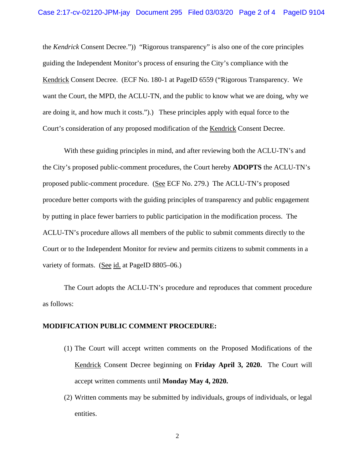the *Kendrick* Consent Decree.")) "Rigorous transparency" is also one of the core principles guiding the Independent Monitor's process of ensuring the City's compliance with the Kendrick Consent Decree. (ECF No. 180-1 at PageID 6559 ("Rigorous Transparency. We want the Court, the MPD, the ACLU-TN, and the public to know what we are doing, why we are doing it, and how much it costs.").) These principles apply with equal force to the Court's consideration of any proposed modification of the Kendrick Consent Decree.

With these guiding principles in mind, and after reviewing both the ACLU-TN's and the City's proposed public-comment procedures, the Court hereby **ADOPTS** the ACLU-TN's proposed public-comment procedure. (See ECF No. 279.) The ACLU-TN's proposed procedure better comports with the guiding principles of transparency and public engagement by putting in place fewer barriers to public participation in the modification process. The ACLU-TN's procedure allows all members of the public to submit comments directly to the Court or to the Independent Monitor for review and permits citizens to submit comments in a variety of formats. (See id. at PageID 8805–06.)

The Court adopts the ACLU-TN's procedure and reproduces that comment procedure as follows:

## **MODIFICATION PUBLIC COMMENT PROCEDURE:**

- (1) The Court will accept written comments on the Proposed Modifications of the Kendrick Consent Decree beginning on **Friday April 3, 2020.** The Court will accept written comments until **Monday May 4, 2020.**
- (2) Written comments may be submitted by individuals, groups of individuals, or legal entities.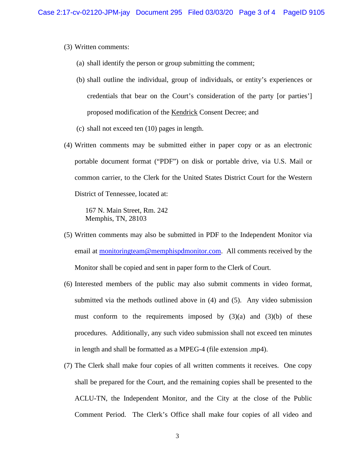- (3) Written comments:
	- (a) shall identify the person or group submitting the comment;
	- (b) shall outline the individual, group of individuals, or entity's experiences or credentials that bear on the Court's consideration of the party [or parties'] proposed modification of the Kendrick Consent Decree; and
	- (c) shall not exceed ten (10) pages in length.
- (4) Written comments may be submitted either in paper copy or as an electronic portable document format ("PDF") on disk or portable drive, via U.S. Mail or common carrier, to the Clerk for the United States District Court for the Western District of Tennessee, located at:

167 N. Main Street, Rm. 242 Memphis, TN, 28103

- (5) Written comments may also be submitted in PDF to the Independent Monitor via email at [monitoringteam@memphispdmonitor.com.](mailto:monitoringteam@memphispdmonitor.com) All comments received by the Monitor shall be copied and sent in paper form to the Clerk of Court.
- (6) Interested members of the public may also submit comments in video format, submitted via the methods outlined above in (4) and (5). Any video submission must conform to the requirements imposed by  $(3)(a)$  and  $(3)(b)$  of these procedures. Additionally, any such video submission shall not exceed ten minutes in length and shall be formatted as a MPEG-4 (file extension .mp4).
- (7) The Clerk shall make four copies of all written comments it receives. One copy shall be prepared for the Court, and the remaining copies shall be presented to the ACLU-TN, the Independent Monitor, and the City at the close of the Public Comment Period. The Clerk's Office shall make four copies of all video and